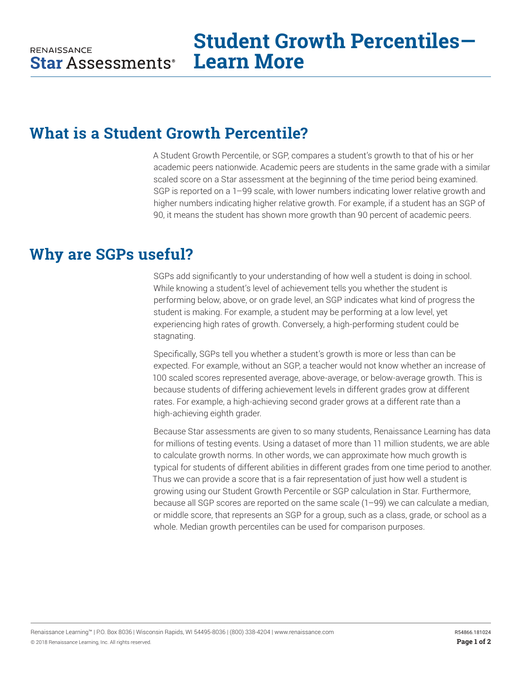## **What is a Student Growth Percentile?**

A Student Growth Percentile, or SGP, compares a student's growth to that of his or her academic peers nationwide. Academic peers are students in the same grade with a similar scaled score on a Star assessment at the beginning of the time period being examined. SGP is reported on a 1–99 scale, with lower numbers indicating lower relative growth and higher numbers indicating higher relative growth. For example, if a student has an SGP of 90, it means the student has shown more growth than 90 percent of academic peers.

### **Why are SGPs useful?**

SGPs add significantly to your understanding of how well a student is doing in school. While knowing a student's level of achievement tells you whether the student is performing below, above, or on grade level, an SGP indicates what kind of progress the student is making. For example, a student may be performing at a low level, yet experiencing high rates of growth. Conversely, a high-performing student could be stagnating.

Specifically, SGPs tell you whether a student's growth is more or less than can be expected. For example, without an SGP, a teacher would not know whether an increase of 100 scaled scores represented average, above-average, or below-average growth. This is because students of differing achievement levels in different grades grow at different rates. For example, a high-achieving second grader grows at a different rate than a high-achieving eighth grader.

Because Star assessments are given to so many students, Renaissance Learning has data for millions of testing events. Using a dataset of more than 11 million students, we are able to calculate growth norms. In other words, we can approximate how much growth is typical for students of different abilities in different grades from one time period to another. Thus we can provide a score that is a fair representation of just how well a student is growing using our Student Growth Percentile or SGP calculation in Star. Furthermore, because all SGP scores are reported on the same scale (1–99) we can calculate a median, or middle score, that represents an SGP for a group, such as a class, grade, or school as a whole. Median growth percentiles can be used for comparison purposes.